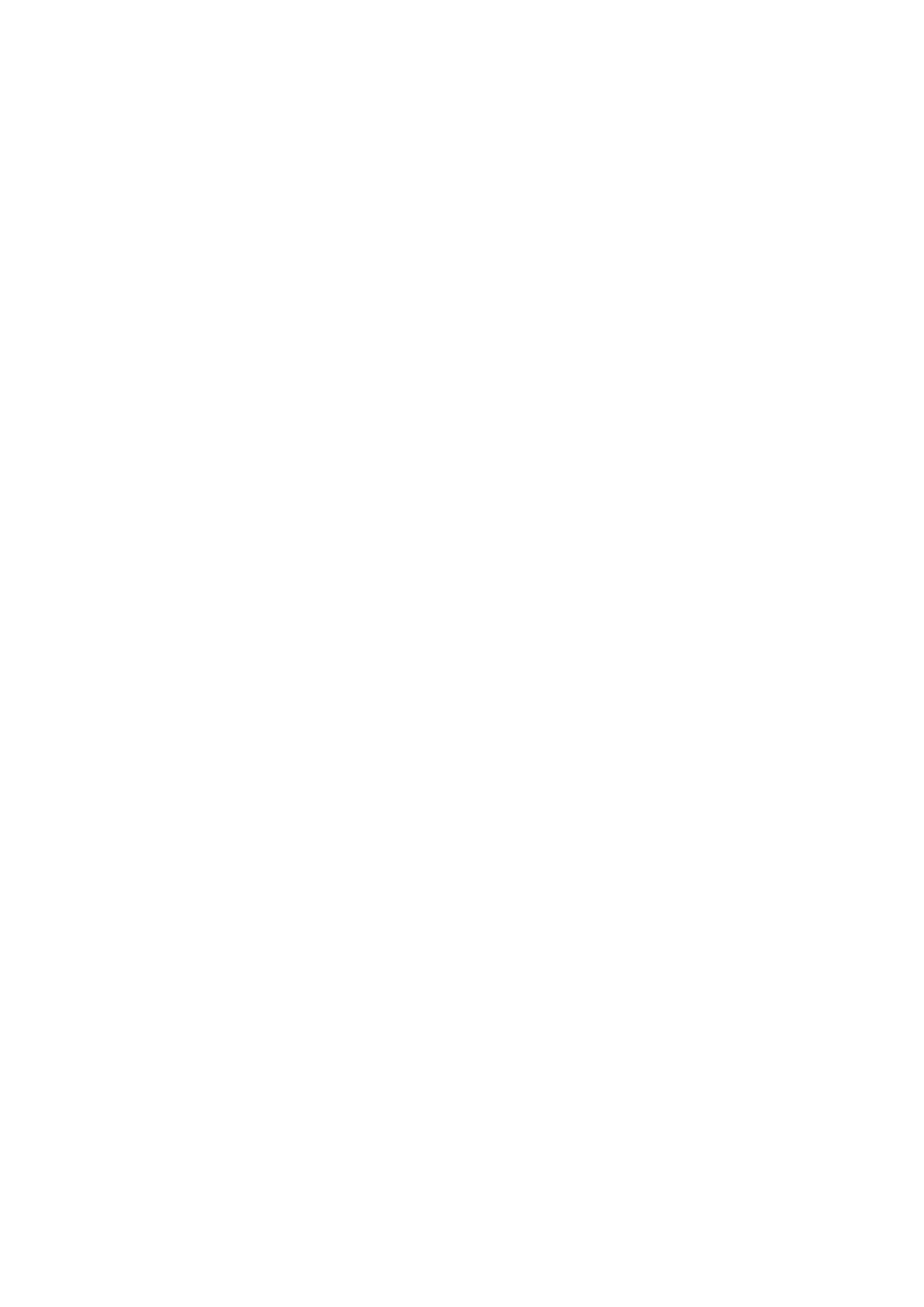

# **A Detailed Morphological and Spectroscopic Study of Merging Dwarf Galaxy PGC 030133**

**D. N. Chhatkuli1, \* , S. Paudel<sup>2</sup>and B. Aryal<sup>1</sup>**

<sup>1</sup>Central Department of Physics, Tribhuvan University, Nepal <sup>2</sup>Centre for Galaxy Evolution Research, Department of Astronomy, Yonsei University, Seoul, South Korea \*Corresponding Email: chhatkulidn@gmail.com

*Received: 20th November, 2021; Revised: 19th December, 2021; Accepted: 29th December, 2021*

## **ABSTRACT**

We present a detailed morphology and spectroscopic study of a merging dwarf galaxy PGC 030133. Using the publicly available fiber spectroscopic data from the Sloan Digital Sky Survey (SDSS), we analyzed nine-strong emission lines of wavelength range  $4336 \text{ Å}$  to  $6739 \text{ Å}$ . We find that the strongest emission line is OIII<sub>5007</sub>, with an intensity of  $146.32 \times 10^{-17}$  erg/s/cm<sup>2</sup>/Å. The observed emission lines are well fitted with a Gaussian profile with a coefficient of regression greater than 96%, and the derived full-width half maximum (FWHM) is less than 4.2 Å. The Balmer decrement, characterized by the line ratio between  $H_a$  and  $H_b$  is 3.07, suggesting a presence of dust at the center of PGC 030133. Using extinction corrected emission line fluxes, we derived the star-formation rate and emission line metallicity of PGC 030133. SFR derived from  $H_{\alpha}$  emission line flux is 0.0033  $M_{\phi}$ year<sup>-1</sup> and emission line metallicity derived from flux ratio between NII and H*α* is 8.13 dex. We derived morphological parameters using the SDSS, g, and zband imaging data. PGC 030133 has a half-light radius of 3.38 arc second and 3.05 arc second in g-band and z-band respectively and observed one-dimensional light profile is well fitted with a Sersic function with near exponential Sersic index  $\sim 0.9$ .

**Keywords:** Compact dwarf galaxy, Galaxy merger, Half-light radius, H*<sup>α</sup>* line, Star Formation Rate.

# **1. INTRODUCTION**

In a galaxy merger, the interacting galaxies combine into a single galaxy that contains stars, planets, dust, and gas. In the gas clouds, formed after the merger, stars will be formed at higher rates. From the observational studies in the last ten years, it has been established that the rate of the merger of galaxies increases steadily with redshift up to  $z \sim 2-3$  [1]. Galaxy merger in the local universe is not common to those in the early universe. Therefore, the galaxy merger in the local universe gives an in-depth examination of the role of the merger in the evolution of the galaxy. Due to the limited existing surveys of the merger between dwarf galaxies  $(M_{*} < 10^{9} M_{\odot})$ , most of the study of galaxy mergers so far has been concentrated on massive galaxies. It is because, the difficulty in examining the dwarf galaxies is partly due to their low luminosity, low brightness, and swallow

potential. The galaxy merger enhances the morphological transformations as well as the star formation and enhances far infra-red emission [2]. The extreme enhancement of star formation can produce a starburst ~1000  $M_{\circ}$  yr<sup>-1</sup> [3, 4]. In the starburst regime, the total gas budget is dominated by  $H_2$  gas. Star formation is one of the most important processes in the formation and evolution of the galaxy. In low redshift galaxies, star formation in spiral galaxies occurs mainly in molecular clouds. Starbursts occur in a special class of galaxies called blue compact dwarf galaxies (BCDs). Starburst galaxies are gas-rich and use their gas much faster to form stars. It is anticipated that the gas component in interacting systems is frequently predicted to be more turbulent than an isolated system.

A compact group of galaxies is a dense group of galaxies that undergo into merger after the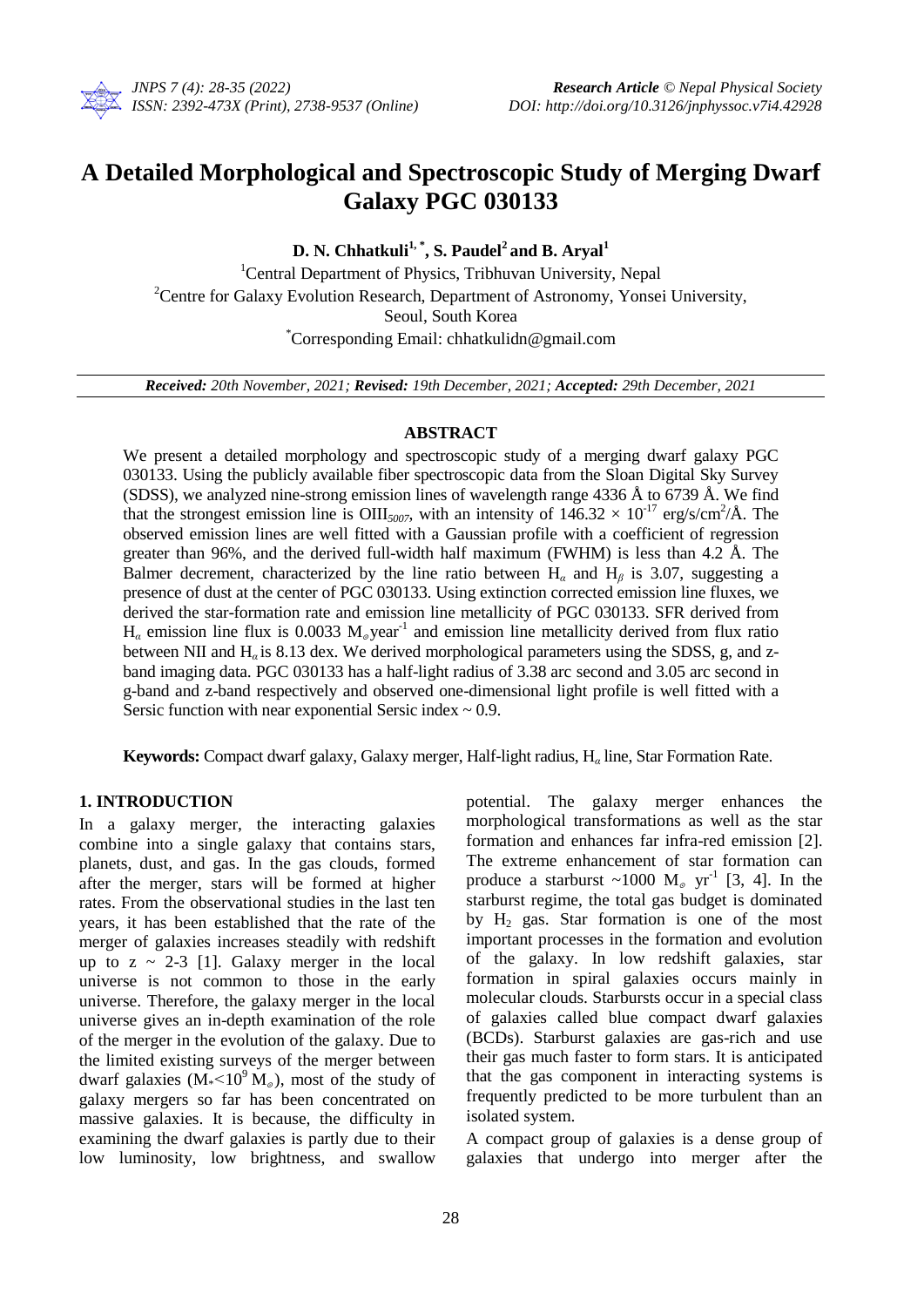interaction. Zwicky [5] reported that the collision of the stars increases frequently when the compactness of a galaxy increases and the matter is ejected in different forms. When two galaxies with compact nuclei collide, an isolated compact galaxy will be formed [6]. Observationally, it is found that the compact galaxies are related to normal galaxies, compact galaxies, or even with both of them. Some galaxies are highly compact, called Ultra Compact Dwarf galaxies (UCDs) [7], the sizes, velocity dispersion, and luminosities of which are similar to the dwarf galaxy cores but they have a higher massto-light ratio than even the largest globular clusters [8]. The blue compact dwarf galaxies (BCDs) are the blue colored galaxies having enormous starburst activities and normally higher central surface brightness in comparison to ordinary dwarf irregular galaxies [9], which is explained to be formed by the gas-rich dwarf-dwarf mergers [10, 11]. The BCDs may also be formed by the central starburst supported by the natural gas accretion from the local environment [12, 13].

In this work, the spectroscopic and photometric analysis of a star-forming interacting dwarf galaxy PGC 030133 is performed. The star formation rate (SFR) and line metallicity are calculated by using  $H_{\alpha}$  line flux in spectroscopy while the structural parameters like effective radius, half-light radius, and ellipticity are calculated in photometry.

#### **2. MATERIALS AND METHODS**

#### **2.1 Sample Selection**

A star-forming class of interacting dwarf galaxies, PGC 030133 is selected from the catalog prepared by Paudel *et al.* [14] based on low redshift  $(z =$ 0.0036) and compactness. The galaxy PGC 030133 is located in the sky position R. A.  $(J2000 =$ 10:19:01.49) and Dec. (J2000 =  $+21:17:00.96$ ) at an adopted distance of 24.80 Mpc with a line-of-sight radial velocity of 1080 km/s. Its g and r-band magnitudes are 14.56 mag. and 14.34 mag. respectively, and the total absolute B-band magnitude is -17.11 mag. The logarithmic value of the stellar mass of the galaxy is  $8.86 M_{\odot}$ . The *g-r-i* combined tri-color image of the galaxy PGC 030133 obtained from the Legacy survey is shown in Fig. 1(a). The galaxy has compact morphology with its bright center as compared to the outer part. A reddish, extended tail-like structure can be seen towards the north direction emanated from the galaxy.



Fig. 1: (a) Optical image of PGC 030133. The image is obtained from the SDSS sky-server. (b) The optical spectrum of the galaxy PGC 030133. Position of the emission lines  $H_{\alpha}$ ,  $H_{\beta}$ ,  $H_{\gamma}$ ,  $H_{\delta}$  doublet OIII, OI, SII, and doublet NII are identified and are shown in the spectrum. The X-axis is rest-frame wavelength and Y-axis is flux.

In Fig. 1(b), the SDSS optical spectrum of the galaxy PGC 030133 obtained from the SDSS archival data is shown in the wavelength range of 3800 Å to 7000 Å. Several prominent emission lines such as H*α*, H*β*, H*γ*, H*δ*, doublet OIII, OI, SII, and doublet NII in the spectrum can be seen along with some small absorption lines and highlighted some of the prominent emission lines, mainly Balmer lines. The strongest emission line is OIII*5007*, and the second strong line is H*α*.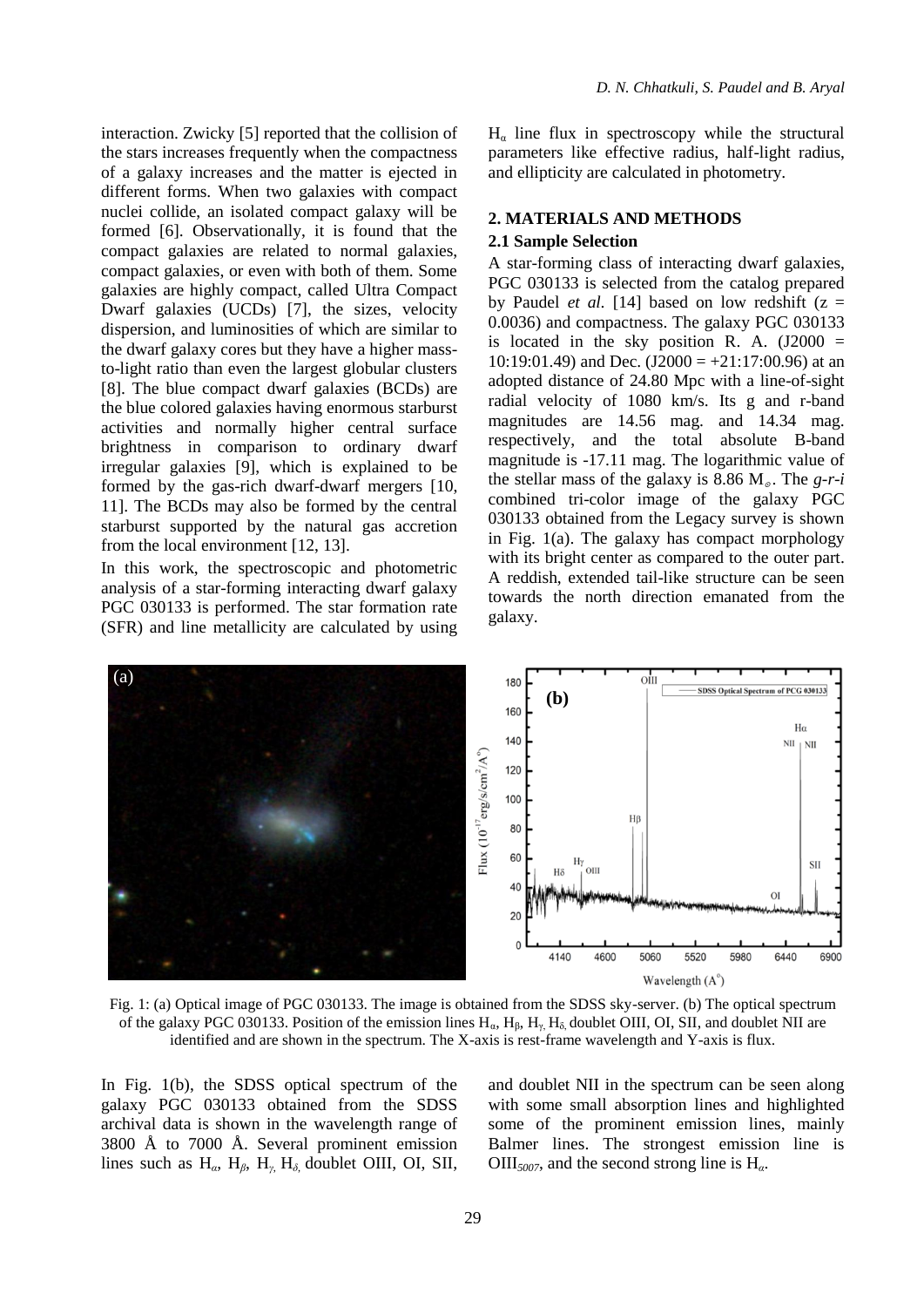#### **2.2 Data Analysis**

#### **(a) Spectroscopic Analysis**

In this work, we tend to largely use the Sloan Digital Sky Survey (SDSS) archival data to measure the morphological and chemical parameters of the galaxies. The SDSS Data Archive Server (DAS) is used to get the SDSS g and r-band images and fiber-spectrum which are already wellcalibrated. Both images and spectrum data are in fits file format. The SDSS fiber has a diameter of three arc seconds. Therefore, only a tiny fraction of the galaxy area of the central region is covered by the spectroscopic data. The spectral line profile is considered to be gaussian in nature and the Gaussian distribution function is defined by Squires *et al.* [15] as

$$
f_G(x) = \frac{1}{\sqrt{2\pi\sigma^2}} e^{\frac{-(x-\mu)2}{2\sigma^2}}
$$
 (1)

Where,  $x$  is a normal random variable,  $\mu$  is the mean deviation and  $\sigma$  is the standard deviation of the distribution.

Some strongest emission lines will be presented in this paper, along with their Gaussian parameters enlisted in a separate table. Then the corresponding elements will be identified. A median of the flux of the spectrum range  $\pm 100$  from the center of the emission line was taken and subtracted the continuum flux before fitting each of the emission lines. Furthermore, the star formation rate (SFR), the hydrogen line ratio, metallicity, dust extinction will be calculated. The Gaussian area of the H*<sup>α</sup>* emission line will be used to calculate the star formation rate of the galaxy. The SFR will be calculated by adopting the empirical formula proposed by Kennicutt [16] as follows:

SFR 
$$
(M_{\phi}year^{-1}) = 7.9 \times 10^{-42} \sum L (H_{a})
$$
 (ergs s<sup>-1</sup>) (2)

Where  $\sum L(H_a)$  is the total luminosity of the H<sub>*a*</sub> line which will be calculated by using the area of the Gaussian fits. The calibration provided by Marino *et al.* [17] will be used to calculate the emission line metallicity by using a line ratio between H*<sup>α</sup>* and NII which is given by

$$
12 + \log (O/H) = 8.743 + 0.462 \times \log (NII/Ha)
$$
 (3)

The line ratio between  $H_{\alpha}$  and  $H_{\beta}$  fluxes is called Blamer decrement c. The theoretical value of  $c_0 =$ 2.86 for an electron temperature of  $10^4$ K and electron density of  $10^2$  cm<sup>-3</sup> [18, 19]. Now extinction coefficient  $E(B - V) = 1.97 \times \log(c/c_0)$ .

Total extinction  $A(H_{\alpha}) = 2.45$  E(B-V) in H<sub>*a*</sub> band. Also, the emitted and observed fluxes of  $H_a$  can be related as  $A(H_\alpha) = -2.5 \log [F(H_\alpha)_{obs}/F(H_\alpha)_{em}]$ . Then the emitted flux,  $F(H_{\alpha})_{em}$  can be calculated which will be used to calculate the SFR after extinction correction.

## **(b) Photometric Analysis**

For photometric analysis, we do surface photometry on the r-band optical image of the galaxy because of its higher signal-to-noise ratio as compared to other bands. The major axis light profile of the galaxy is extracted by using the Image Reduction and Analysis Facility (IRAF) task ellipse and the best fitted elliptical isophotes are drawn on the image as described by Jedrzejewski [20], thereby producing several structural parameters of the galaxy such as ellipticity, position angle, effective radius, intensity and so on which are important tools to know the morphology and evolution of the galaxy.

To find the size of a galaxy, we use either a parametric approach or a non-parametric approach. In the former approach, the observed light profile of the galaxy is approximated into parametric functions such as exponential or de Vaucouleur functions which are the special cases of Sersic function [21] defined as

$$
I(R) = I_e \exp\left\{-b_n \left[\left(\frac{R}{R_e}\right)^{1/n} - 1\right]\right\}
$$
 (4)

Here, R*<sup>e</sup>* is the effective radius of the galaxy at which the intensity is I*<sup>e</sup>* . n is called Sersic index which defines the 'shape' of the profile.  $b_n$  is a function of n which is selected to make sure that the radius R*<sup>e</sup>* encloses half of the profile's total luminosity. The observed light profile is modeled with the Sersic function and the best fitted effective radius R*<sup>e</sup>* and surface brightness μ*<sup>e</sup>* of the galaxy are obtained as free parameters.

Out of many methods in the non-parametric approach, the Petrosian method is used to find the half-light radius R*h*. At first, Petrosian radius a*p*, [22, 23] is defined, which is the distance from the center of the galaxy at which the surface brightness at a radial distance R is 20 percent of the average surface brightness within that radius. It is assumed that the total flux of the galaxy is covered within the distance of  $2a_p$ . Once we know the total flux of the galaxy, the galactocentric distance at which total flux is half can be calculated, which is called half-light radius h*r*.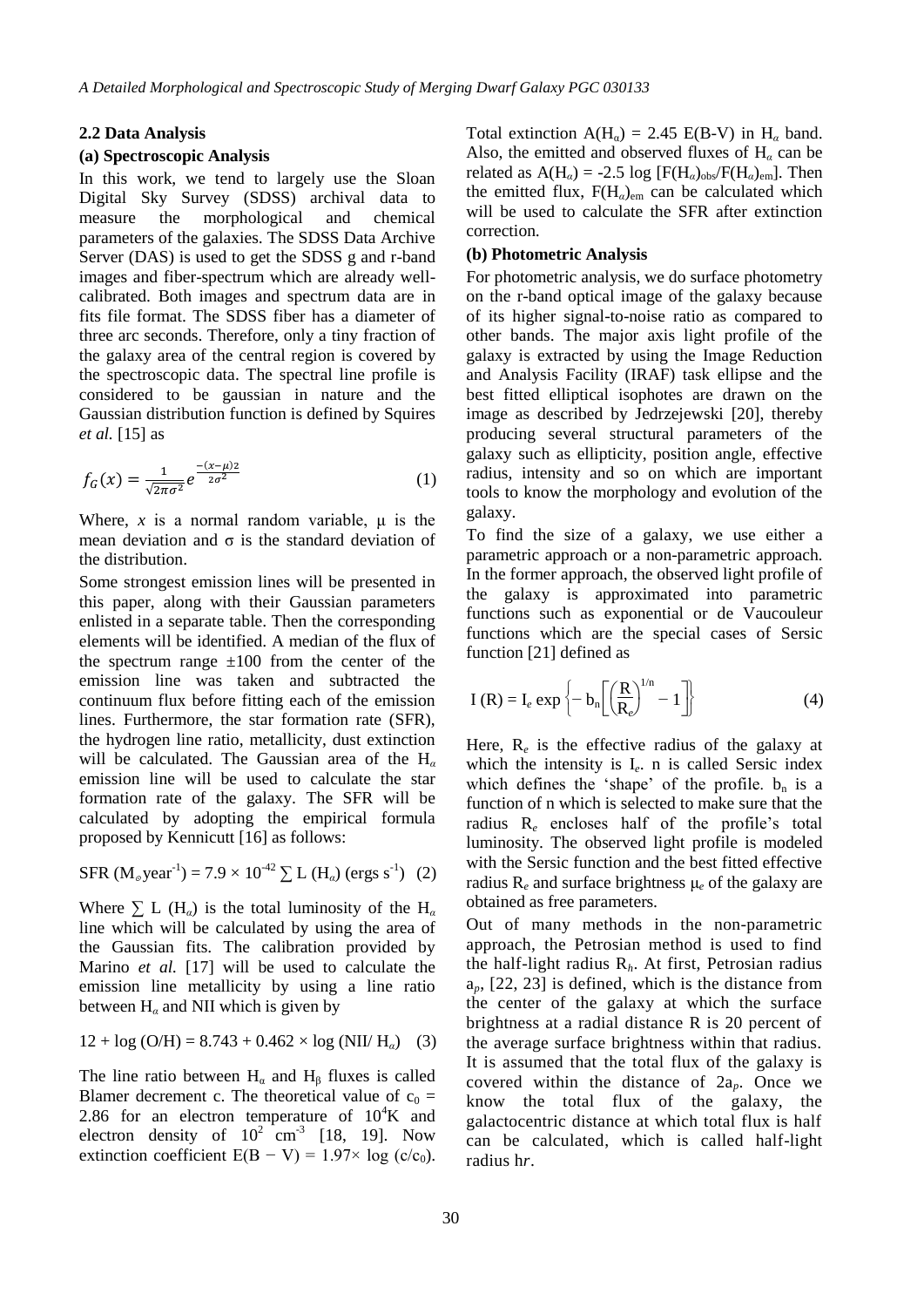## **3. RESULTS AND DISCUSSION**

## **3.1 Spectroscopy**

Nine main emission lines: H*δ*, H*β*, OIII*4960*, OIII*5007*, H*α*, NII*6584*, NII*6551*, SII*6717*, and SII*<sup>6733</sup>* are determined from the spectrum of the galaxy PGC 030133 [Fig. 1(b)] and only six prominent lines of them are shown in Fig. 2 along with their Gaussian fits. The solid line represents the Gaussian distribution and the dots represent the observed data. The error bars are also shown in the Gaussian curves. We can see that there is an excellent agreement of the observed data with the normal distribution. The doublets OIII, NII, and SII have two different emission lines of each. The Balmer lines,  $H_{\alpha}$ ,  $H_{\beta}$  and  $H_{\delta}$  are sensitive to the galaxies' gas-mass and star-formation rate. The H*α*, principally, is a well-known tracer of star-formation and is widely used to calculate the star-formation rate of the gas-rich galaxies. Heavier elements OIII and NII emission fluxes are used to calculate the star-forming galaxies' emission line metallicity.



Fig. 2: Six main emission lines  $(H_{\delta_1} H_{\beta_2} OIII_{4960}, OIII_{5007}, H_{\alpha_1}$  and NII<sub>6584</sub>) of Gaussian fitting procedure for the galaxy PGC 030133 are shown. We show a conservative estimate of the flux error in the plot, i.e., 10 % of the observed flux provided by the SDSS webpage (https://www.sdss.org/dr15/spectro/caveats/). The major cause of the broadening of the characteristic line is the Doppler broadening. The wavelengths given in the X-axis are redshift corrected.

The Gaussian parameters of the nine strongest emission lines of the galaxy PGC 030133 are enlisted in Table 1. The wavelength  $(\lambda_p)$  in angstrom corresponding to the peak intensity, the value of peak intensity  $(10^{-17} \text{ erg/s/cm}^2/\text{\AA})$ , area of the Gaussian curve  $(10^{-17} \text{ erg/s/cm}^2/\text{\AA})$ , the height of the Gaussian fits  $(10^{-17} \text{ erg/s/cm}^2/\text{\AA})$ , the positional difference between Gaussian peak and the observed peak (offset) and coefficient of regression  $R^2$  are recorded corresponding to different elements: H*δ*, H*β*, OIII*4960*, OIII*5007*,

NII*6584*, H*α*, NII*6551*, SII*<sup>6717</sup>* and SII*<sup>6733</sup>* responsible for the characteristic lines of the galaxy. We can see from Table 1 that, OIII*<sup>5007</sup>* has a maximum intensity of  $146.32 \times 10^{-17}$  erg/s/cm<sup>2</sup>/Å, corresponding to the central wavelength 5007 Å. The second strongest intensity is  $116.84 \times 10^{-17}$ erg/s/cm<sup>2</sup>/Å corresponding to wavelength 6565 Å, which is due to  $H_\alpha$  emission. The value of the coefficient of regression is more than 96% suggesting that the fitted curves almost agree with the Gaussian distribution.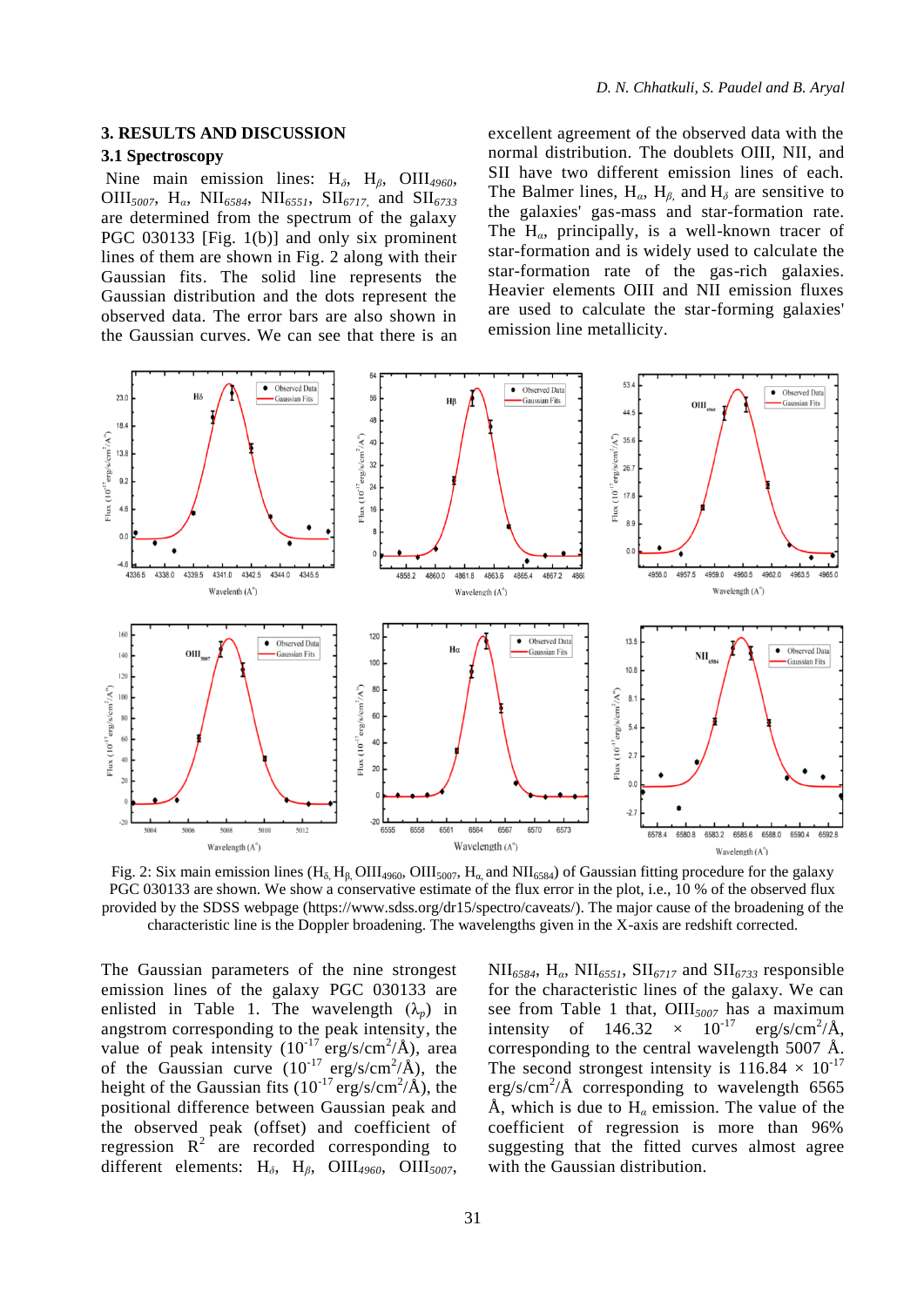| <b>Elements</b>  | $H_{\delta}$ | $H_{\beta}$ | OIII <sub>4960</sub> | $\text{OIII}_{5007}$ | $\mathrm{NII}_{6584}$ | $H_{\alpha}$ | $\mathrm{NII}_{6551}$ | $\mathrm{SH}_{6717}$ | $\text{SII}_{6733}$ |
|------------------|--------------|-------------|----------------------|----------------------|-----------------------|--------------|-----------------------|----------------------|---------------------|
| Wavelength       | 4341         | 4862        | 4960                 | 5007                 | 6584                  | 6565         | 6551                  | 6717                 | 6733                |
| <b>Intensity</b> | 23.91        | 56.13       | 47.29                | 146.32               | 12.93                 | 116.84       | 4.18                  | 22.43                | 15.17               |
| Area             | 68.18        | 163.25      | 153.58               | 457.05               | 62.57                 | 501.81       | 19.28                 | 101.20               | 68.00               |
| Height           | 25.72        | 60.32       | 52.65                | 158.58               | 14.11                 | 121.10       | 4.69                  | 23.49                | 16.82               |
| <b>Offset</b>    | $+0.14$      | $-0.29$     | $+0.44$              | $-0.43$              | $-0.70$               | $+0.36$      | $+1.32$               | $-0.47$              | $+0.66$             |
| $\mathbb{R}^2$   | 0.97         | 0.99        | 0.99                 | 9.99                 | 0.96                  | 0.99         | 0.96                  | 0.99                 | 0.97                |

**Table 1: Preferred Gaussian parameters of the Gaussian fits are listed in this Table.** 

The negative value of the offset of the Gaussian distribution of H*β*, OIII*5007*, NII*6584*, and SII*<sup>6717</sup>* shows that the curves have negative skewness and they have a long left-hand tail as compared to righthand tail. In the same way, the positive value of the offset of the Gaussian distribution of H*δ*, OIII*4960*, H*α*, NII*6551*, and SII*<sup>6733</sup>* shows that the curves have positive skewness and they have a long right-hand tail as compared to left-hand tail.

# **Star Formation Rate**

Star Formation Rate (SFR) of the galaxy PGC 030133 calculated by using equation (2) is found to be 0.0029  $M_{\circ}$  year<sup>-1</sup> before extinction correction and  $0.0033$   $M<sub>o</sub>$  year<sup>-1</sup> after extinction correction. We can see that the SFR of the galaxy calculated after extinction correction is more than that before correction indicating that the observed flux of the galaxy is more than the actual flux. The calculated value of SFR of the galaxy is remarkably low  $(0.0033 \text{ M}_{\circ} \text{ year}^{-1})$  as compared to its catalog value derived by using FUV flux. This is because of the large area coverage of FUV as compared to the SDSS 3" central region. It indicates that just a

fraction of star formation occurs in the central part of the galaxy.

The line ratio  $(c) = 3.07$ . This shows that the line ratio of the galaxies is slightly greater than its theoretical value (2.8). The higher value of c suggests the presence of dust at the center and the dust absorbs lower wavelength light more efficiently than higher wavelength light. The line ratio NII*6584*/ H*<sup>α</sup>* = 62.57/501.81 = 0.125. Line metallicity calculated by using this line ratio from equation (3) is  $12 + \log (O/H) = 8.13$  dex which suggests that the PGC 030133 overall has metal content nearly three times lower than the sun.

## **3.2 Photometry**

From the photometric calculations, several structural parameters of the galaxy PGC 030133 are obtained which are listed in Table 2. The first, second, third, fourth, fifth, and sixth columns represent the band of filter, mean surface brightness, effective radius, Sersic index, magnitude, and half-light radius respectively of g and z bands.

| <b>Band</b> | M. S. B.Mag/arc $sec2$ | $\mathbf{R}_{e}$ (arcsec) |      | $mg$ (mag.) | $hr$ (arcsec) |
|-------------|------------------------|---------------------------|------|-------------|---------------|
|             | 21.89                  | 9.05                      | 0.98 | 15.55       | 3.38          |
| ▵           | 41.19                  | 8.00                      | 0.89 | 14.92       | 3.05          |

**Table 2: Global structural parameters of PGC 030133.**

The angle made by the semi-major axis of the galaxy with the north celestial pole is called position angle and it gives the orientation of the galaxy. The radial profiles of position angle (PA) and ellipticity are shown in Fig. 3. From the figure, it seems that the position angle and ellipticity vary randomly as free parameters around the central region and it is almost constant in outer regions from the center of the galaxy both in g-band [Fig.  $3(a)$ ] and z-band [Fig.  $3(b)$ ].

From the Sersic modeling of the observed light profile in the parametric method, the effective radius of the galaxy is obtained to be 21.89 arcsec and 21.13 arcsec in g and z-bands respectively. The modeled major axis light profiles at g-band [Fig. 4(a)] and z-band [Fig. (b)] are shown in Fig. 4. It is found that the modeled best-fitted line perfectly coincides with the observed data and hence, the observed light profile can be well modeled with a simple Sersic function with a Sersic index of ~0.9 (near exponential).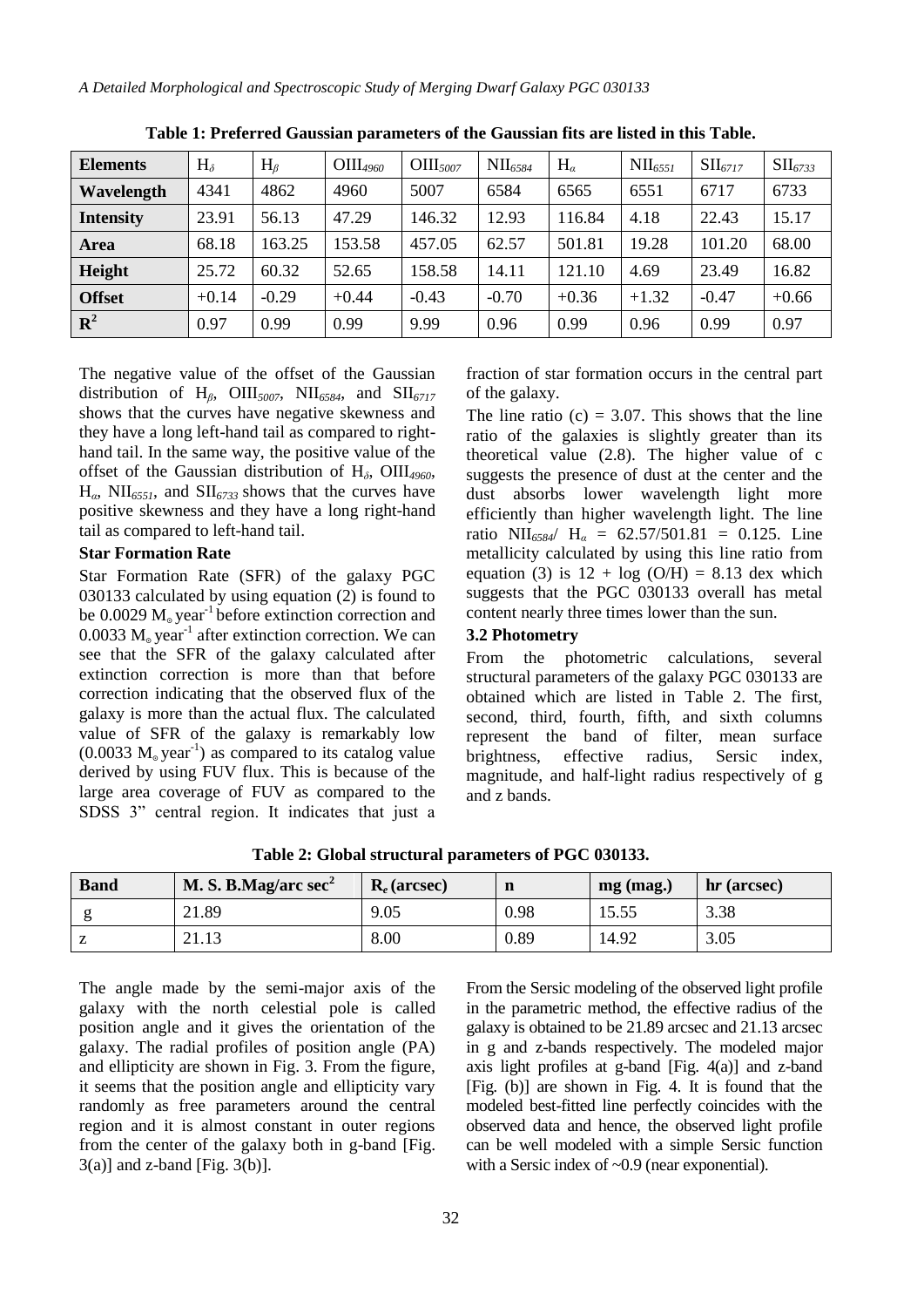The half-life radius (h*r*) is obtained from the nonparametric approach that better represents the overall size of the galaxy. At first, a Petrosian radius  $a_p$  is calculated at  $n = 0.2$ ; as shown in Fig. 5(a) for g-band. It is assumed that radius  $2a_p$  covers most of the galactic light and calculates a half-light radius for that total light as shown in Fig. 5(b). The same is done for the z-band as shown in Fig. 5. The derived Petrosian radius for this galaxy is 17.34 arcsec in g-band and 16.14 arcsec in z-band. Using the Petrosian method in the parametric approach, the half-light radii obtained are 3.38 arcsec and 3.05 arcsec respectively in g and z-bands. Thus, we do not need to know the endpoint of the galaxy to find its size.



Fig. 3: Radial profiles of position angle (PA) and ellipticity



Fig. 4: Sersic modeling of the observed light profile of the galaxy PGC 030133



Fig. 5: Radial profile of Petrosian index and cumulative intensity at g-band and z-band respectively.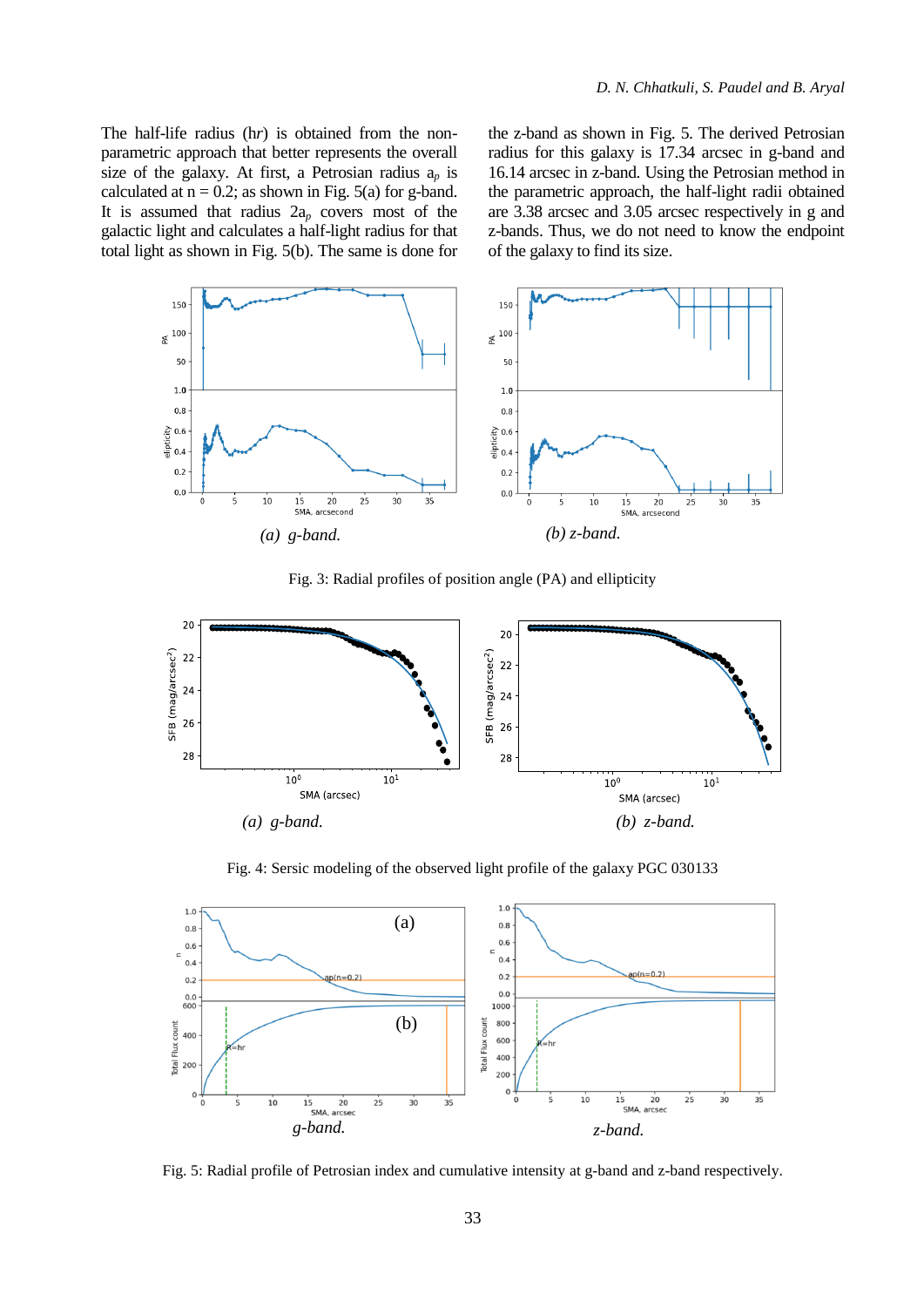#### **Comparison with previous work**

We studied spectroscopic and morphological properties of a merging dwarf galaxy PGC 030133. It is a blue compact dwarf galaxy (BCD). Merging features in BCD-type galaxies are rare. Recent literature shows VCC 848 and UM 448 are the two well-studied BCD galaxies. An optical color of both VCC 848 and UM 448 is shown in Fig. 6. Zhang *et al.* have identified a shell feature BCD (VCC 848) in the Virgo cluster [24, 25]. Compare to VCC 848, PGC 030133 is one magnitude fainter and 0.2 dex bluer in g-r color. The color difference can be well explained by comparing their surrounding environment and gas mass fraction. VCC 848 has 5 times lower gas-mass fraction compared to PGC 030133. Both, VCC 848 and PGC 030133 have a similar half-light radius of  $\sim$ 9". Another study of interacting BCD type galaxy is UM 448, located in a field environment [26]. A resolved spectroscopic study revealed that UM 448 is producing new stars at a staggering pace, i.e., 0.8  $M_{\circ}$  year<sup>-1,</sup> and has overall emission line metallicity  $12 + \log(O/H) = 8.15$  dex.



Fig. 6: Example of previously studied merging dwarf galaxies: VCC 848 and UM 448. The images are obtained from the SDSS sky server.

# **4. CONCLUSION**

From the spectroscopic and photometric analysis of the compact dwarf galaxy, PGC 030133 which is formed just after the merger, different conclusions are drawn based on the observations and calculations. The selected emission lines from the optical spectrum of galaxy PGC 030133 have a coefficient of regression, of more than 96% which indicates almost perfect agreement with Gaussian fits. The star formation rate and line metallicity are calculated by using  $H_a$  flux. The derived SFR after extinction correction is 0.0033  $M_{\circ}$  year<sup>-1</sup> and its metallicity is 8.13 dex. This shows that the galaxy is a normal star-forming galaxy with total metal content three times lower than the Sun. A detailed morphological study of a compact dwarf galaxy, PGC 030133 is performed by using photometry and found that the major axis light profile can be well modeled with a simple Sersic function with near exponential Sersic index. The effective radius is calculated by modeling the observed light profile in the Sersic function and the half-light radius is

calculated by the Petrosian method. The derived values of half-light radius are 3.38 arcsec and 3.05 arcsec in g-band and z-band respectively.

#### **ACKNOWLEDGEMENTS**

We acknowledge the University Grants Commission of Nepal, for financial support by providing a Ph.D. Fellowship and Research Support Grant (Award No.: PhD-75/76-S & T-13) to carry out this research. We also acknowledge our anonymous referees for their valuable comments and suggestion. We would like to thank Mr. Rajesh Kumar Bachchan equally, for his remarkable efforts to help us in technical aspects.

This study is based on the archival images and spectra from the Sloan Digital Sky Survey (*http://www:sdss.org/collaboration/credits.html*).

#### **REFERENCES**

[1] Lotz, J. M.; Jonsson, P.; Cox, T. J.; Croton, D.; Primack, J. R.; Somerville, R. S. & Stewart, K. The